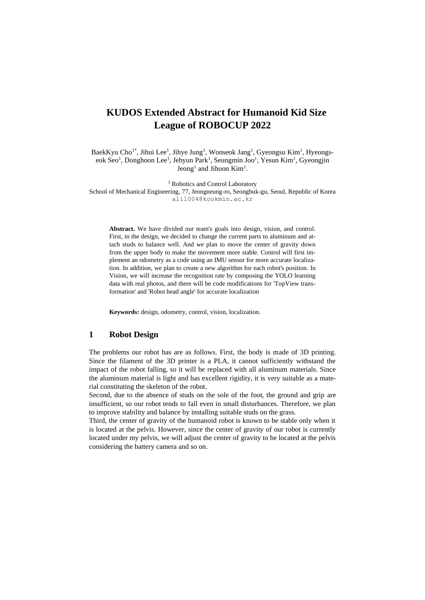# **KUDOS Extended Abstract for Humanoid Kid Size League of ROBOCUP 2022**

BaekKyu Cho<sup>1\*</sup>, Jihui Lee<sup>1</sup>, Jihye Jung<sup>1</sup>, Wonseok Jang<sup>1</sup>, Gyeongsu Kim<sup>1</sup>, Hyeongseok Seo<sup>1</sup>, Donghoon Lee<sup>1</sup>, Jehyun Park<sup>1</sup>, Seungmin Joo<sup>1</sup>, Yesun Kim<sup>1</sup>, Gyeongjin Jeong<sup>1</sup> and Jihoon Kim<sup>1</sup>.

<sup>1</sup> Robotics and Control Laboratory

School of Mechanical Engineering, 77, Jeongneung-ro, Seongbuk-gu, Seoul, Republic of Korea ali1004@kookmin.ac.kr

**Abstract.** We have divided our team's goals into design, vision, and control. First, in the design, we decided to change the current parts to aluminum and attach studs to balance well. And we plan to move the center of gravity down from the upper body to make the movement more stable. Control will first implement an odometry as a code using an IMU sensor for more accurate localization. In addition, we plan to create a new algorithm for each robot's position. In Vision, we will increase the recognition rate by composing the YOLO learning data with real photos, and there will be code modifications for 'TopView transformation' and 'Robot head angle' for accurate localization

**Keywords:** design, odometry, control, vision, localization.

### **1 Robot Design**

The problems our robot has are as follows. First, the body is made of 3D printing. Since the filament of the 3D printer is a PLA, it cannot sufficiently withstand the impact of the robot falling, so it will be replaced with all aluminum materials. Since the aluminum material is light and has excellent rigidity, it is very suitable as a material constituting the skeleton of the robot.

Second, due to the absence of studs on the sole of the foot, the ground and grip are insufficient, so our robot tends to fall even in small disturbances. Therefore, we plan to improve stability and balance by installing suitable studs on the grass.

Third, the center of gravity of the humanoid robot is known to be stable only when it is located at the pelvis. However, since the center of gravity of our robot is currently located under my pelvis, we will adjust the center of gravity to be located at the pelvis considering the battery camera and so on.